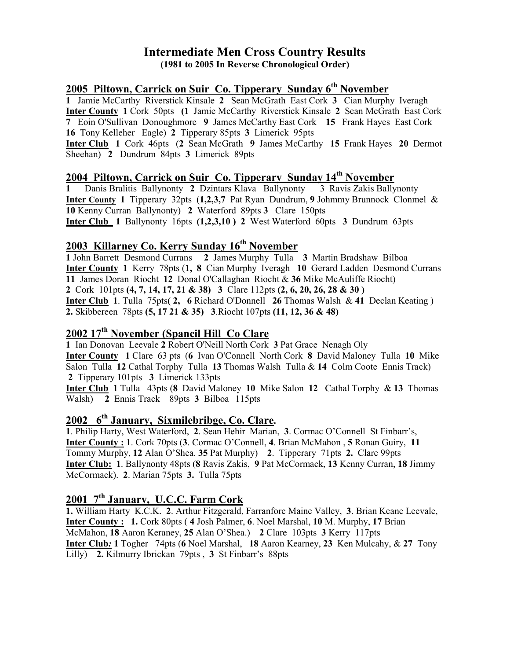### Intermediate Men Cross Country Results (1981 to 2005 In Reverse Chronological Order)

## 2005 Piltown, Carrick on Suir Co. Tipperary Sunday  $6<sup>th</sup>$  November

Jamie McCarthy Riverstick Kinsale 2 Sean McGrath East Cork 3 Cian Murphy Iveragh Inter County 1 Cork 50pts (1 Jamie McCarthy Riverstick Kinsale 2 Sean McGrath East Cork Eoin O'Sullivan Donoughmore 9 James McCarthy East Cork 15 Frank Hayes East Cork Tony Kelleher Eagle) 2 Tipperary 85pts 3 Limerick 95pts

Inter Club 1 Cork 46pts (2 Sean McGrath 9 James McCarthy 15 Frank Hayes 20 Dermot Sheehan) 2 Dundrum 84pts 3 Limerick 89pts

# 2004 Piltown, Carrick on Suir Co. Tipperary Sunday 14<sup>th</sup> November

1 Danis Bralitis Ballynonty 2 Dzintars Klava Ballynonty 3 Ravis Zakis Ballynonty Inter County 1 Tipperary 32pts (1,2,3,7 Pat Ryan Dundrum, 9 Johmmy Brunnock Clonmel & 10 Kenny Curran Ballynonty) 2 Waterford 89pts 3 Clare 150pts Inter Club 1 Ballynonty 16pts (1,2,3,10 ) 2 West Waterford 60pts 3 Dundrum 63pts

## 2003 Killarney Co. Kerry Sunday 16<sup>th</sup> November

1 John Barrett Desmond Currans 2 James Murphy Tulla 3 Martin Bradshaw Bilboa Inter County 1 Kerry 78pts (1, 8 Cian Murphy Iveragh 10 Gerard Ladden Desmond Currans 11 James Doran Riocht 12 Donal O'Callaghan Riocht & 36 Mike McAuliffe Riocht) 2 Cork 101pts (4, 7, 14, 17, 21 & 38) 3 Clare 112pts (2, 6, 20, 26, 28 & 30 ) Inter Club 1. Tulla 75pts( 2, 6 Richard O'Donnell 26 Thomas Walsh & 41 Declan Keating ) 2. Skibbereen 78pts (5, 17 21 & 35) 3.Riocht 107pts (11, 12, 36 & 48)

# 2002 17th November (Spancil Hill Co Clare

1 Ian Donovan Leevale 2 Robert O'Neill North Cork 3 Pat Grace Nenagh Oly Inter County 1 Clare 63 pts (6 Ivan O'Connell North Cork 8 David Maloney Tulla 10 Mike Salon Tulla 12 Cathal Torphy Tulla 13 Thomas Walsh Tulla & 14 Colm Coote Ennis Track) 2 Tipperary 101pts 3 Limerick 133pts Inter Club 1 Tulla 43pts (8 David Maloney 10 Mike Salon 12 Cathal Torphy & 13 Thomas

Walsh) 2 Ennis Track 89pts 3 Bilboa 115pts

# 2002 6<sup>th</sup> January, Sixmilebribge, Co. Clare.

1. Philip Harty, West Waterford, 2. Sean Hehir Marian, 3. Cormac O'Connell St Finbarr's, Inter County : 1. Cork 70pts (3. Cormac O'Connell, 4. Brian McMahon , 5 Ronan Guiry, 11 Tommy Murphy, 12 Alan O'Shea. 35 Pat Murphy) 2. Tipperary 71pts 2. Clare 99pts Inter Club: 1. Ballynonty 48pts (8 Ravis Zakis, 9 Pat McCormack, 13 Kenny Curran, 18 Jimmy McCormack). 2. Marian 75pts 3. Tulla 75pts

# 2001 7<sup>th</sup> January, U.C.C. Farm Cork

1. William Harty K.C.K. 2. Arthur Fitzgerald, Farranfore Maine Valley, 3. Brian Keane Leevale, Inter County : 1. Cork 80pts ( 4 Josh Palmer, 6. Noel Marshal, 10 M. Murphy, 17 Brian McMahon, 18 Aaron Keraney, 25 Alan O'Shea.) 2 Clare 103pts 3 Kerry 117pts Inter Club: 1 Togher 74pts (6 Noel Marshal, 18 Aaron Kearney, 23 Ken Mulcahy, & 27 Tony Lilly) 2. Kilmurry Ibrickan 79pts , 3 St Finbarr's 88pts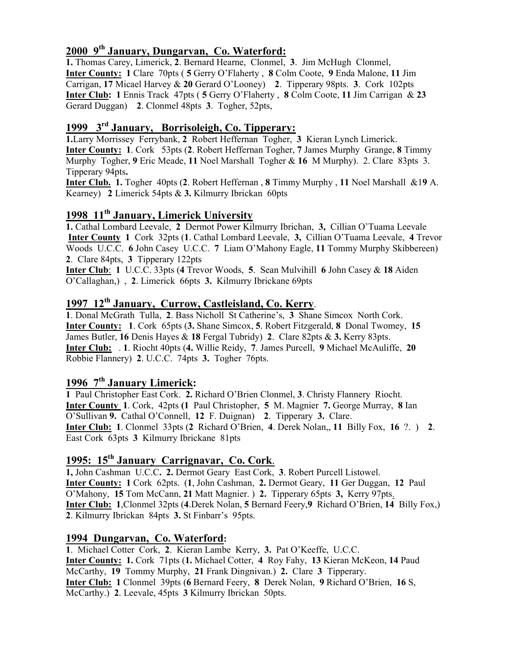# 2000 9th January, Dungarvan, Co. Waterford:

1. Thomas Carey, Limerick, 2. Bernard Hearne, Clonmel, 3. Jim McHugh Clonmel, Inter County: 1 Clare 70pts ( 5 Gerry O'Flaherty , 8 Colm Coote, 9 Enda Malone, 11 Jim Carrigan, 17 Micael Harvey & 20 Gerard O'Looney) 2. Tipperary 98pts. 3. Cork 102pts Inter Club: 1 Ennis Track 47pts ( 5 Gerry O'Flaherty , 8 Colm Coote, 11 Jim Carrigan & 23 Gerard Duggan) 2. Clonmel 48pts 3. Togher, 52pts,

# 1999 3rd January, Borrisoleigh, Co. Tipperary:

1.Larry Morrissey Ferrybank, 2 Robert Heffernan Togher, 3 Kieran Lynch Limerick. Inter County: 1. Cork 53pts (2. Robert Heffernan Togher, 7 James Murphy Grange, 8 Timmy Murphy Togher, 9 Eric Meade, 11 Noel Marshall Togher & 16 M Murphy). 2. Clare 83pts 3. Tipperary 94pts.

Inter Club. 1. Togher 40pts (2. Robert Heffernan , 8 Timmy Murphy , 11 Noel Marshall &19 A. Kearney) 2 Limerick 54pts & 3. Kilmurry Ibrickan 60pts

# 1998 11<sup>th</sup> January, Limerick University

1. Cathal Lombard Leevale, 2 Dermot Power Kilmurry Ibrichan, 3, Cillian O'Tuama Leevale Inter County 1 Cork 32pts (1. Cathal Lombard Leevale, 3, Cillian O'Tuama Leevale, 4 Trevor Woods U.C.C. 6 John Casey U.C.C. 7 Liam O'Mahony Eagle, 11 Tommy Murphy Skibbereen) 2. Clare 84pts, 3 Tipperary 122pts

Inter Club: 1 U.C.C. 33pts (4 Trevor Woods, 5. Sean Mulvihill 6 John Casey & 18 Aiden O'Callaghan,) , 2. Limerick 66pts 3. Kilmurry Ibrickane 69pts

# 1997 12<sup>th</sup> January, Currow, Castleisland, Co. Kerry.

1. Donal McGrath Tulla, 2. Bass Nicholl St Catherine's, 3 Shane Simcox North Cork. Inter County: 1. Cork 65pts (3. Shane Simcox, 5. Robert Fitzgerald, 8 Donal Twomey, 15 James Butler, 16 Denis Hayes & 18 Fergal Tubridy) 2. Clare 82pts & 3. Kerry 83pts. Inter Club: . 1. Riocht 40pts (4. Willie Reidy, 7. James Purcell, 9 Michael McAuliffe, 20 Robbie Flannery) 2. U.C.C. 74pts 3. Togher 76pts.

### 1996  $7<sup>th</sup>$  January Limerick:

1 Paul Christopher East Cork. 2. Richard O'Brien Clonmel, 3. Christy Flannery Riocht. Inter County 1. Cork, 42pts (1 Paul Christopher, 5 M. Magnier 7. George Murray, 8 Ian O'Sullivan 9. Cathal O'Connell, 12 F. Duignan) 2. Tipperary 3. Clare. Inter Club: 1. Clonmel 33pts (2 Richard O'Brien, 4. Derek Nolan,, 11 Billy Fox, 16 ?. ) 2. East Cork 63pts 3 Kilmurry Ibrickane 81pts

# 1995: 15<sup>th</sup> January Carrignavar, Co. Cork.

1, John Cashman U.C.C. 2. Dermot Geary East Cork, 3. Robert Purcell Listowel. Inter County: 1 Cork 62pts. (1, John Cashman, 2. Dermot Geary, 11 Ger Duggan, 12 Paul O'Mahony, 15 Tom McCann, 21 Matt Magnier. ) 2. Tipperary 65pts 3, Kerry 97pts. Inter Club: 1,Clonmel 32pts (4.Derek Nolan, 5 Bernard Feery,9 Richard O'Brien, 14 Billy Fox,) 2. Kilmurry Ibrickan 84pts 3. St Finbarr's 95pts.

### 1994 Dungarvan, Co. Waterford:

1. Michael Cotter Cork, 2. Kieran Lambe Kerry, 3. Pat O'Keeffe, U.C.C. Inter County: 1. Cork 71pts (1. Michael Cotter, 4 Roy Fahy, 13 Kieran McKeon, 14 Paud McCarthy, 19 Tommy Murphy, 21 Frank Dingnivan.) 2. Clare 3 Tipperary. Inter Club: 1 Clonmel 39pts (6 Bernard Feery, 8 Derek Nolan, 9 Richard O'Brien, 16 S, McCarthy.) 2. Leevale, 45pts 3 Kilmurry Ibrickan 50pts.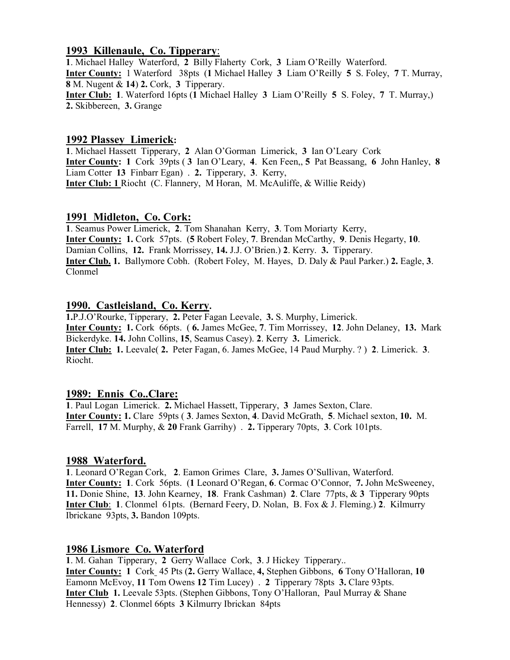#### 1993 Killenaule, Co. Tipperary:

1. Michael Halley Waterford, 2 Billy Flaherty Cork, 3 Liam O'Reilly Waterford. Inter County: 1 Waterford 38pts (1 Michael Halley 3 Liam O'Reilly 5 S. Foley, 7 T. Murray, 8 M. Nugent & 14) 2. Cork, 3 Tipperary. Inter Club: 1. Waterford 16pts (1 Michael Halley 3 Liam O'Reilly 5 S. Foley, 7 T. Murray,) 2. Skibbereen, 3. Grange

#### 1992 Plassey Limerick:

1. Michael Hassett Tipperary, 2 Alan O'Gorman Limerick, 3 Ian O'Leary Cork Inter County: 1 Cork 39pts ( 3 Ian O'Leary, 4. Ken Feen,, 5 Pat Beassang, 6 John Hanley, 8 Liam Cotter 13 Finbarr Egan) . 2. Tipperary, 3. Kerry, Inter Club: 1 Riocht (C. Flannery, M Horan, M. McAuliffe, & Willie Reidy)

### 1991 Midleton, Co. Cork:

1. Seamus Power Limerick, 2. Tom Shanahan Kerry, 3. Tom Moriarty Kerry, Inter County: 1. Cork 57pts. (5 Robert Foley, 7. Brendan McCarthy, 9. Denis Hegarty, 10. Damian Collins, 12. Frank Morrissey, 14. J.J. O'Brien.) 2. Kerry. 3. Tipperary. Inter Club. 1. Ballymore Cobh. (Robert Foley, M. Hayes, D. Daly & Paul Parker.) 2. Eagle, 3. Clonmel

### 1990. Castleisland, Co. Kerry.

1.P.J.O'Rourke, Tipperary, 2. Peter Fagan Leevale, 3. S. Murphy, Limerick. Inter County: 1. Cork 66pts. ( 6. James McGee, 7. Tim Morrissey, 12. John Delaney, 13. Mark Bickerdyke. 14. John Collins, 15, Seamus Casey). 2. Kerry 3. Limerick. Inter Club: 1. Leevale( 2. Peter Fagan, 6. James McGee, 14 Paud Murphy. ? ) 2. Limerick. 3. Riocht.

### 1989: Ennis Co..Clare:

1. Paul Logan Limerick. 2. Michael Hassett, Tipperary, 3 James Sexton, Clare. Inter County: 1. Clare 59pts ( 3. James Sexton, 4. David McGrath, 5. Michael sexton, 10. M. Farrell, 17 M. Murphy, & 20 Frank Garrihy) . 2. Tipperary 70pts, 3. Cork 101pts.

#### 1988 Waterford.

1. Leonard O'Regan Cork, 2. Eamon Grimes Clare, 3. James O'Sullivan, Waterford. Inter County: 1. Cork 56pts. (1 Leonard O'Regan, 6. Cormac O'Connor, 7. John McSweeney, 11. Donie Shine, 13. John Kearney, 18. Frank Cashman) 2. Clare 77pts, & 3 Tipperary 90pts Inter Club: 1. Clonmel 61pts. (Bernard Feery, D. Nolan, B. Fox & J. Fleming.) 2. Kilmurry Ibrickane 93pts, 3. Bandon 109pts.

### 1986 Lismore Co. Waterford

1. M. Gahan Tipperary, 2 Gerry Wallace Cork, 3. J Hickey Tipperary.. Inter County: 1 Cork 45 Pts (2. Gerry Wallace, 4, Stephen Gibbons, 6 Tony O'Halloran, 10 Eamonn McEvoy, 11 Tom Owens 12 Tim Lucey) . 2 Tipperary 78pts 3. Clare 93pts. Inter Club 1. Leevale 53pts. (Stephen Gibbons, Tony O'Halloran, Paul Murray & Shane Hennessy) 2. Clonmel 66pts 3 Kilmurry Ibrickan 84pts